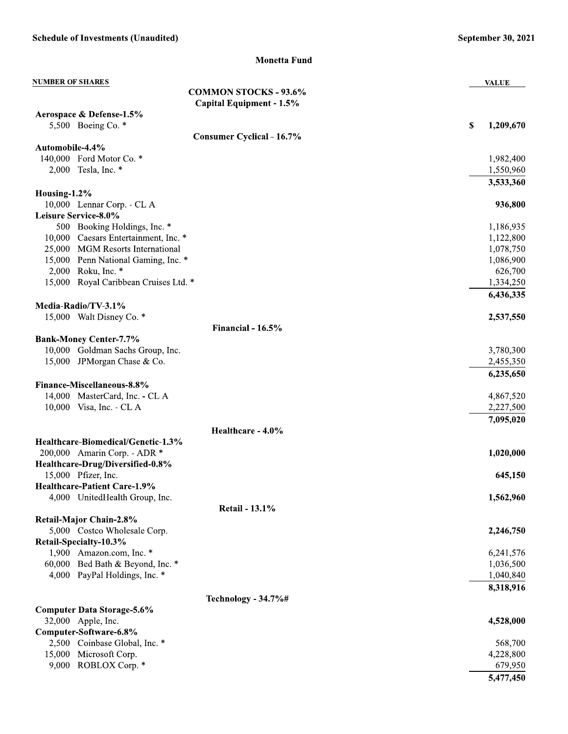**Monetta Fund** 

| <b>NUMBER OF SHARES</b>                                                 | <b>VALUE</b>         |
|-------------------------------------------------------------------------|----------------------|
| <b>COMMON STOCKS - 93.6%</b>                                            |                      |
| Capital Equipment - 1.5%                                                |                      |
| Aerospace & Defense-1.5%                                                |                      |
| 5,500 Boeing Co. *                                                      | \$<br>1,209,670      |
| <b>Consumer Cyclical - 16.7%</b>                                        |                      |
| Automobile-4.4%                                                         |                      |
| 140,000 Ford Motor Co. *                                                | 1,982,400            |
| 2,000 Tesla, Inc. *                                                     | 1,550,960            |
|                                                                         | 3,533,360            |
| Housing-1.2%                                                            |                      |
| 10,000 Lennar Corp. - CL A                                              | 936,800              |
| Leisure Service-8.0%                                                    |                      |
| 500 Booking Holdings, Inc. *                                            | 1,186,935            |
| 10,000 Caesars Entertainment, Inc. *                                    | 1,122,800            |
| 25,000 MGM Resorts International<br>15,000 Penn National Gaming, Inc. * | 1,078,750            |
| 2,000 Roku, Inc. *                                                      | 1,086,900<br>626,700 |
| 15,000 Royal Caribbean Cruises Ltd. *                                   | 1,334,250            |
|                                                                         |                      |
| Media-Radio/TV-3.1%                                                     | 6,436,335            |
| 15,000 Walt Disney Co. *                                                | 2,537,550            |
| Financial - 16.5%                                                       |                      |
| <b>Bank-Money Center-7.7%</b>                                           |                      |
| 10,000 Goldman Sachs Group, Inc.                                        | 3,780,300            |
| 15,000 JPM organ Chase & Co.                                            | 2,455,350            |
|                                                                         | 6,235,650            |
| Finance-Miscellaneous-8.8%                                              |                      |
| 14,000 MasterCard, Inc. - CL A                                          | 4,867,520            |
| 10,000 Visa, Inc. - CL A                                                | 2,227,500            |
|                                                                         | 7,095,020            |
| Healthcare - 4.0%                                                       |                      |
| Healthcare-Biomedical/Genetic-1.3%                                      |                      |
| 200,000 Amarin Corp. - ADR *                                            | 1,020,000            |
| Healthcare-Drug/Diversified-0.8%                                        |                      |
| 15,000 Pfizer, Inc.                                                     | 645,150              |
| <b>Healthcare-Patient Care-1.9%</b>                                     |                      |
| 4,000 UnitedHealth Group, Inc.                                          | 1,562,960            |
| <b>Retail - 13.1%</b>                                                   |                      |
| Retail-Major Chain-2.8%                                                 |                      |
| 5,000 Costco Wholesale Corp.                                            | 2,246,750            |
| Retail-Specialty-10.3%                                                  |                      |
| 1,900 Amazon.com, Inc. *                                                | 6,241,576            |
| 60,000 Bed Bath & Beyond, Inc. *                                        | 1,036,500            |
| 4,000 PayPal Holdings, Inc. *                                           | 1,040,840            |
|                                                                         | 8,318,916            |
| Technology - 34.7%#                                                     |                      |
| <b>Computer Data Storage-5.6%</b>                                       |                      |
| 32,000 Apple, Inc.                                                      | 4,528,000            |
| Computer-Software-6.8%                                                  |                      |
| 2,500 Coinbase Global, Inc. *                                           | 568,700              |
| 15,000<br>Microsoft Corp.                                               | 4,228,800            |
| ROBLOX Corp. *<br>9,000                                                 | 679,950              |
|                                                                         | 5,477,450            |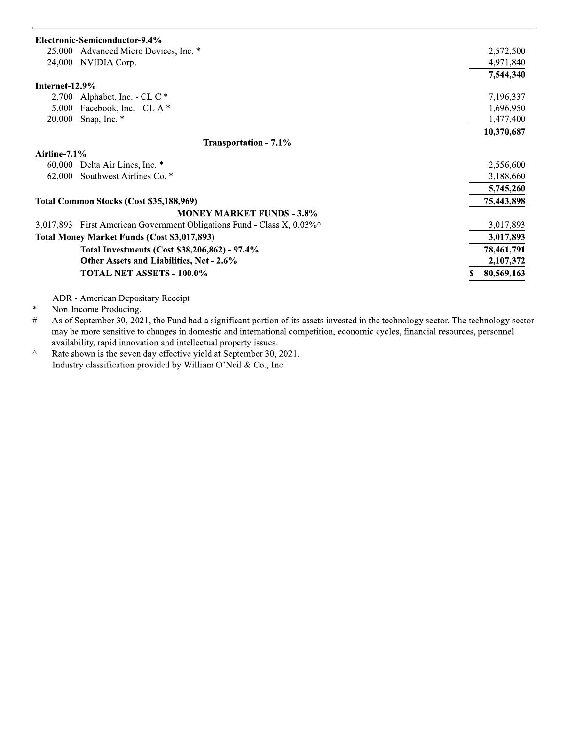## Electronic-Semiconductor-9.4%

| Advanced Micro Devices, Inc. *<br>25,000                                    | 2,572,500  |
|-----------------------------------------------------------------------------|------------|
| NVIDIA Corp.<br>24,000                                                      | 4,971,840  |
|                                                                             | 7,544,340  |
| Internet-12.9%                                                              |            |
| 2,700 Alphabet, Inc. - CL C $*$                                             | 7,196,337  |
| Facebook, Inc. - CL A *<br>5,000                                            | 1,696,950  |
| Snap, Inc. *<br>20,000                                                      | 1,477,400  |
|                                                                             | 10,370,687 |
| Transportation - 7.1%                                                       |            |
| Airline- $7.1\%$                                                            |            |
| 60,000<br>Delta Air Lines, Inc. *                                           | 2,556,600  |
| Southwest Airlines Co. *<br>62,000                                          | 3,188,660  |
|                                                                             | 5,745,260  |
| Total Common Stocks (Cost \$35,188,969)                                     | 75,443,898 |
| <b>MONEY MARKET FUNDS - 3.8%</b>                                            |            |
| First American Government Obligations Fund - Class X, $0.03\%$<br>3.017.893 | 3,017,893  |
| Total Money Market Funds (Cost \$3,017,893)                                 | 3,017,893  |
| Total Investments (Cost \$38,206,862) - 97.4%                               | 78,461,791 |
| Other Assets and Liabilities, Net - 2.6%                                    | 2,107,372  |
| <b>TOTAL NET ASSETS - 100.0%</b>                                            | 80,569,163 |

ADR - American Depositary Receipt

 $\ast$ Non-Income Producing.

 $\#$ As of September 30, 2021, the Fund had a significant portion of its assets invested in the technology sector. The technology sector may be more sensitive to changes in domestic and international competition, economic cycles, financial resources, personnel availability, rapid innovation and intellectual property issues.

 $\color{blue}\lambda$ Rate shown is the seven day effective yield at September 30, 2021. Industry classification provided by William O'Neil & Co., Inc.